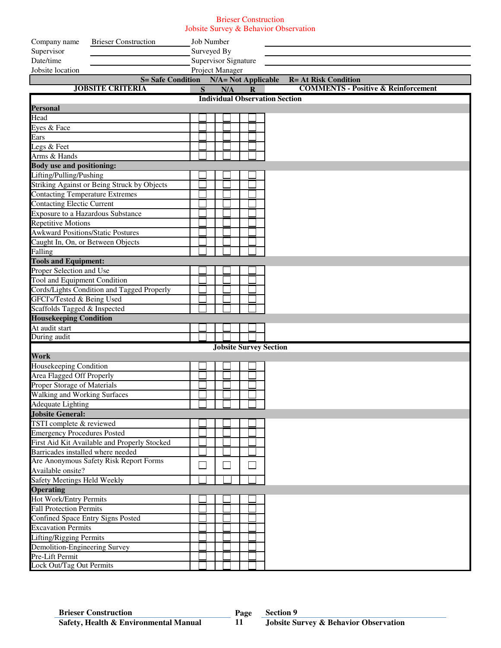## Brieser Construction Jobsite Survey & Behavior Observation

| <b>Brieser Construction</b><br>Company name  | <b>Job Number</b>          |  |  |     |  |                               |                                                |
|----------------------------------------------|----------------------------|--|--|-----|--|-------------------------------|------------------------------------------------|
| Supervisor                                   | Surveyed By                |  |  |     |  |                               |                                                |
| Date/time                                    | Supervisor Signature       |  |  |     |  |                               |                                                |
| Jobsite location                             | Project Manager            |  |  |     |  |                               |                                                |
| <b>S= Safe Condition</b>                     | <b>N/A= Not Applicable</b> |  |  |     |  |                               | <b>R= At Risk Condition</b>                    |
| <b>JOBSITE CRITERIA</b>                      | S                          |  |  | N/A |  | $\mathbf R$                   | <b>COMMENTS - Positive &amp; Reinforcement</b> |
|                                              |                            |  |  |     |  |                               | <b>Individual Observation Section</b>          |
| <b>Personal</b>                              |                            |  |  |     |  |                               |                                                |
| Head                                         |                            |  |  |     |  |                               |                                                |
| Eyes & Face                                  |                            |  |  |     |  |                               |                                                |
| Ears                                         |                            |  |  |     |  |                               |                                                |
| Legs & Feet                                  |                            |  |  |     |  |                               |                                                |
| Arms & Hands                                 |                            |  |  |     |  |                               |                                                |
| <b>Body use and positioning:</b>             |                            |  |  |     |  |                               |                                                |
| Lifting/Pulling/Pushing                      |                            |  |  |     |  |                               |                                                |
| Striking Against or Being Struck by Objects  |                            |  |  |     |  |                               |                                                |
| <b>Contacting Temperature Extremes</b>       |                            |  |  |     |  |                               |                                                |
| <b>Contacting Electic Current</b>            |                            |  |  |     |  |                               |                                                |
| <b>Exposure to a Hazardous Substance</b>     |                            |  |  |     |  |                               |                                                |
| <b>Repetitive Motions</b>                    |                            |  |  |     |  |                               |                                                |
| <b>Awkward Positions/Static Postures</b>     |                            |  |  |     |  |                               |                                                |
| Caught In, On, or Between Objects            |                            |  |  |     |  |                               |                                                |
| Falling                                      |                            |  |  |     |  |                               |                                                |
| <b>Tools and Equipment:</b>                  |                            |  |  |     |  |                               |                                                |
| Proper Selection and Use                     |                            |  |  |     |  |                               |                                                |
| Tool and Equipment Condition                 |                            |  |  |     |  |                               |                                                |
| Cords/Lights Condition and Tagged Properly   |                            |  |  |     |  |                               |                                                |
| GFCI's/Tested & Being Used                   |                            |  |  |     |  |                               |                                                |
| Scaffolds Tagged & Inspected                 |                            |  |  |     |  |                               |                                                |
| <b>Housekeeping Condition</b>                |                            |  |  |     |  |                               |                                                |
| At audit start                               |                            |  |  |     |  |                               |                                                |
| During audit                                 |                            |  |  |     |  |                               |                                                |
|                                              |                            |  |  |     |  | <b>Jobsite Survey Section</b> |                                                |
| Work                                         |                            |  |  |     |  |                               |                                                |
| Housekeeping Condition                       |                            |  |  |     |  |                               |                                                |
| Area Flagged Off Properly                    |                            |  |  |     |  |                               |                                                |
| Proper Storage of Materials                  |                            |  |  |     |  |                               |                                                |
| Walking and Working Surfaces                 |                            |  |  |     |  |                               |                                                |
| <b>Adequate Lighting</b>                     |                            |  |  |     |  |                               |                                                |
| <b>Jobsite General:</b>                      |                            |  |  |     |  |                               |                                                |
| TSTI complete $&$ reviewed                   |                            |  |  |     |  |                               |                                                |
| <b>Emergency Procedures Posted</b>           |                            |  |  |     |  |                               |                                                |
| First Aid Kit Available and Properly Stocked |                            |  |  |     |  |                               |                                                |
| Barricades installed where needed            |                            |  |  |     |  |                               |                                                |
| Are Anonymous Safety Risk Report Forms       |                            |  |  |     |  |                               |                                                |
| Available onsite?                            |                            |  |  |     |  |                               |                                                |
| <b>Safety Meetings Held Weekly</b>           |                            |  |  |     |  |                               |                                                |
| <b>Operating</b>                             |                            |  |  |     |  |                               |                                                |
| Hot Work/Entry Permits                       |                            |  |  |     |  |                               |                                                |
| <b>Fall Protection Permits</b>               |                            |  |  |     |  |                               |                                                |
| Confined Space Entry Signs Posted            |                            |  |  |     |  |                               |                                                |
| <b>Excavation Permits</b>                    |                            |  |  |     |  |                               |                                                |
| <b>Lifting/Rigging Permits</b>               |                            |  |  |     |  |                               |                                                |
| Demolition-Engineering Survey                |                            |  |  |     |  |                               |                                                |
| Pre-Lift Permit                              |                            |  |  |     |  |                               |                                                |
| Lock Out/Tag Out Permits                     |                            |  |  |     |  |                               |                                                |

**11**